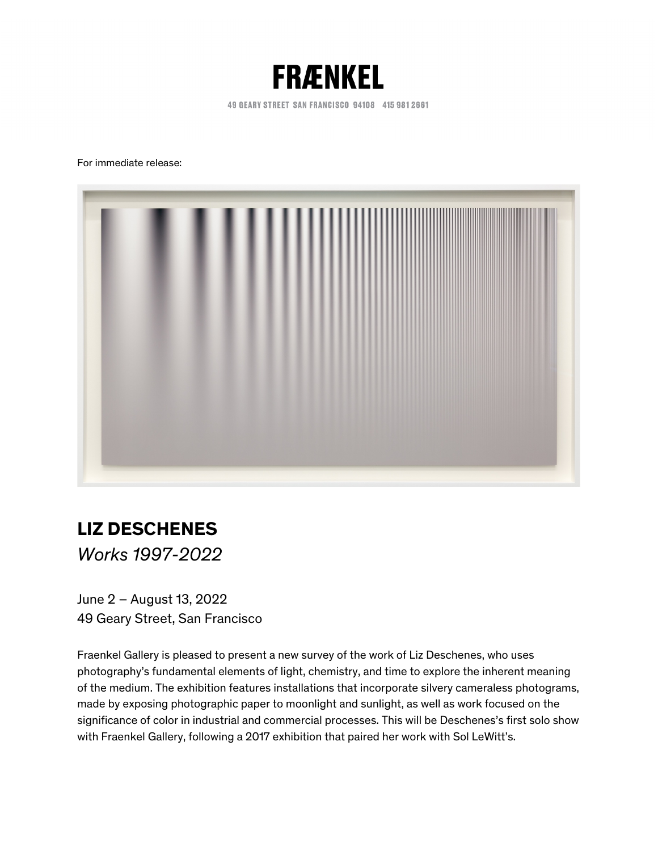

49 GEARY STREET SAN FRANCISCO 94108 415 981 2661

For immediate release:



## **LIZ DESCHENES**

*Works 1997-2022* 

 June 2 – August 13, 2022 49 Geary Street, San Francisco

 Fraenkel Gallery is pleased to present a new survey of the work of Liz Deschenes, who uses photography's fundamental elements of light, chemistry, and time to explore the inherent meaning made by exposing photographic paper to moonlight and sunlight, as well as work focused on the significance of color in industrial and commercial processes. This will be Deschenes's first solo show with Fraenkel Gallery, following a 2017 exhibition that paired her work with Sol LeWitt's. of the medium. The exhibition features installations that incorporate silvery cameraless photograms,